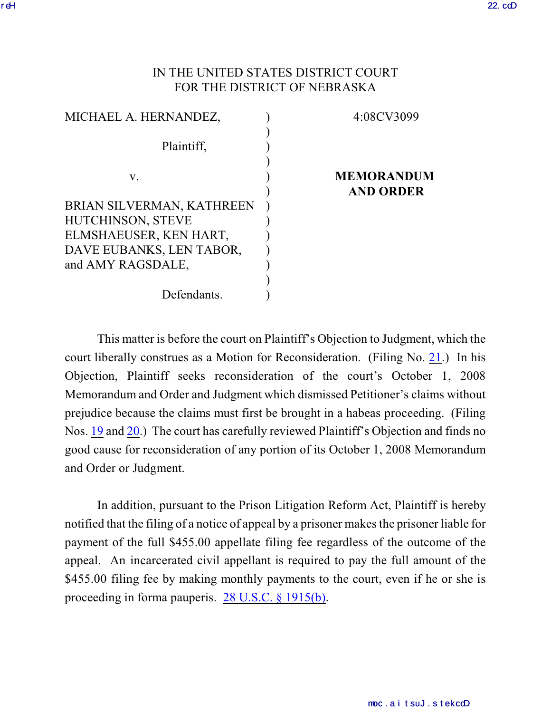## IN THE UNITED STATES DISTRICT COURT FOR THE DISTRICT OF NEBRASKA

| MICHAEL A. HERNANDEZ,     | 4:08CV3099                            |
|---------------------------|---------------------------------------|
| Plaintiff,                |                                       |
| V.                        | <b>MEMORANDUM</b><br><b>AND ORDER</b> |
| BRIAN SILVERMAN, KATHREEN |                                       |
| HUTCHINSON, STEVE         |                                       |
| ELMSHAEUSER, KEN HART,    |                                       |
| DAVE EUBANKS, LEN TABOR,  |                                       |
| and AMY RAGSDALE,         |                                       |
|                           |                                       |
| Defendants.               |                                       |

This matter is before the court on Plaintiff's Objection to Judgment, which the court liberally construes as a Motion for Reconsideration. (Filing No. [21](https://ecf.ned.uscourts.gov/doc1/11301562833).) In his Objection, Plaintiff seeks reconsideration of the court's October 1, 2008 Memorandum and Order and Judgment which dismissed Petitioner's claims without prejudice because the claims must first be brought in a habeas proceeding. (Filing Nos. [19](https://ecf.ned.uscourts.gov/doc1/11301553808) and [20](https://ecf.ned.uscourts.gov/doc1/11301553811).) The court has carefully reviewed Plaintiff's Objection and finds no good cause for reconsideration of any portion of its October 1, 2008 Memorandum and Order or Judgment.

In addition, pursuant to the Prison Litigation Reform Act, Plaintiff is hereby notified that the filing of a notice of appeal by a prisoner makes the prisoner liable for payment of the full \$455.00 appellate filing fee regardless of the outcome of the appeal. An incarcerated civil appellant is required to pay the full amount of the \$455.00 filing fee by making monthly payments to the court, even if he or she is proceeding in forma pauperis. [28 U.S.C. § 1915\(b\)](http://web2.westlaw.com/find/default.wl?fn=_top&rs=WLW8.10&rp=%2ffind%2fdefault.wl&mt=Westlaw&vr=2.0&sv=Split&cite=28+usc+1915).